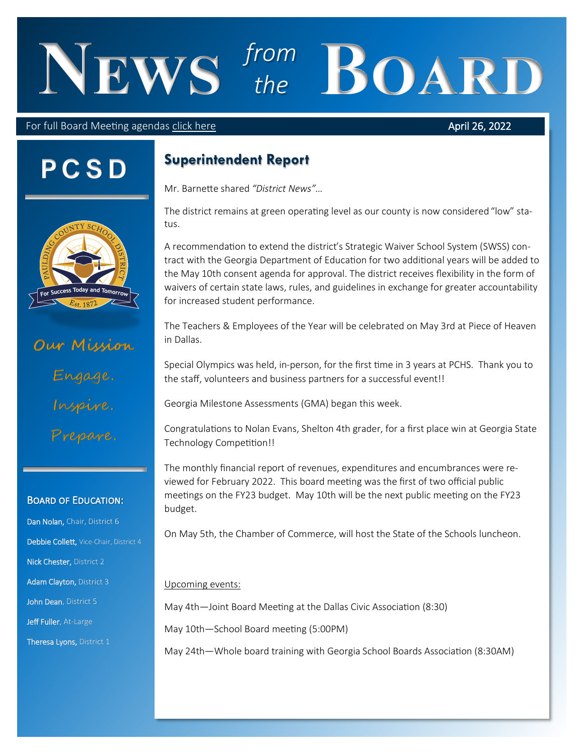# **News** *from*  From **BOARD**

#### For full Board Meeting agendas [click here](https://simbli.eboardsolutions.com/SB_Meetings/SB_MeetingListing.aspx?S=4125)

#### April 26, 2022

# **P C S D**



# **Our Mission** Engage. Inspire. Prepare .

#### Board of Education:

Dan Nolan, Chair, District 6 Debbie Collett, Vice-Chair, District 4 Nick Chester, District 2 Adam Clayton, District 3 John Dean, District 5 Jeff Fuller, At-Large Theresa Lyons, District 1

### **Superintendent Report**

Mr. Barnette shared *"District News"…*

The district remains at green operating level as our county is now considered "low" status.

A recommendation to extend the district's Strategic Waiver School System (SWSS) contract with the Georgia Department of Education for two additional years will be added to the May 10th consent agenda for approval. The district receives flexibility in the form of waivers of certain state laws, rules, and guidelines in exchange for greater accountability for increased student performance.

The Teachers & Employees of the Year will be celebrated on May 3rd at Piece of Heaven in Dallas.

Special Olympics was held, in-person, for the first time in 3 years at PCHS. Thank you to the staff, volunteers and business partners for a successful event!!

Georgia Milestone Assessments (GMA) began this week.

Congratulations to Nolan Evans, Shelton 4th grader, for a first place win at Georgia State Technology Competition!!

The monthly financial report of revenues, expenditures and encumbrances were reviewed for February 2022. This board meeting was the first of two official public meetings on the FY23 budget. May 10th will be the next public meeting on the FY23 budget.

On May 5th, the Chamber of Commerce, will host the State of the Schools luncheon.

#### Upcoming events:

May 4th—Joint Board Meeting at the Dallas Civic Association (8:30)

May 10th—School Board meeting (5:00PM)

May 24th—Whole board training with Georgia School Boards Association (8:30AM)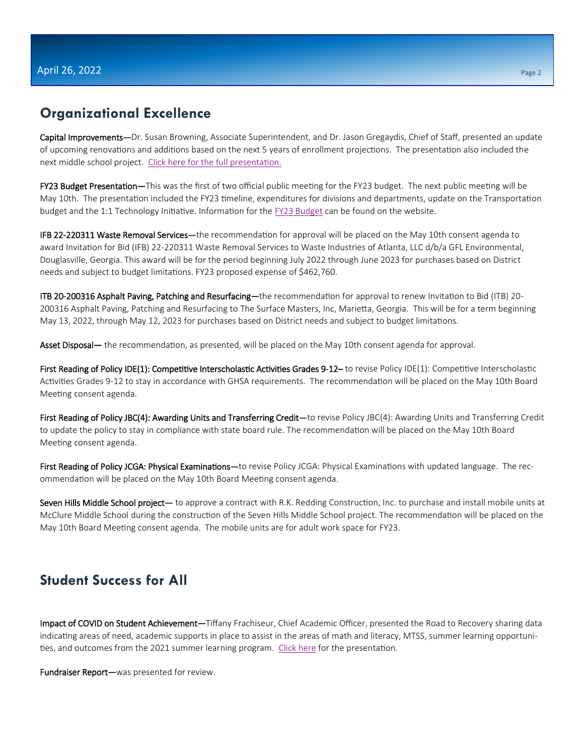#### **Organizational Excellence**

Capital Improvements—Dr. Susan Browning, Associate Superintendent, and Dr. Jason Gregaydis, Chief of Staff, presented an update of upcoming renovations and additions based on the next 5 years of enrollment projections. The presentation also included the next middle school project. [Click here for the full presentation.](https://simbli.eboardsolutions.com/Meetings/Attachment.aspx?S=4125&AID=1387138&MID=101341)

FY23 Budget Presentation—This was the first of two official public meeting for the FY23 budget. The next public meeting will be May 10th. The presentation included the FY23 timeline, expenditures for divisions and departments, update on the Transportation budget and the 1:1 Technology Initiative. Information for the [FY23 Budget](https://www.paulding.k12.ga.us/Page/46083) can be found on the website.

IFB 22-220311 Waste Removal Services—the recommendation for approval will be placed on the May 10th consent agenda to award Invitation for Bid (IFB) 22-220311 Waste Removal Services to Waste Industries of Atlanta, LLC d/b/a GFL Environmental, Douglasville, Georgia. This award will be for the period beginning July 2022 through June 2023 for purchases based on District needs and subject to budget limitations. FY23 proposed expense of \$462,760.

ITB 20-200316 Asphalt Paving, Patching and Resurfacing—the recommendation for approval to renew Invitation to Bid (ITB) 20- 200316 Asphalt Paving, Patching and Resurfacing to The Surface Masters, Inc, Marietta, Georgia. This will be for a term beginning May 13, 2022, through May 12, 2023 for purchases based on District needs and subject to budget limitations.

Asset Disposal— the recommendation, as presented, will be placed on the May 10th consent agenda for approval.

First Reading of Policy IDE(1): Competitive Interscholastic Activities Grades 9-12-to revise Policy IDE(1): Competitive Interscholastic Activities Grades 9-12 to stay in accordance with GHSA requirements. The recommendation will be placed on the May 10th Board Meeting consent agenda.

First Reading of Policy JBC(4): Awarding Units and Transferring Credit—to revise Policy JBC(4): Awarding Units and Transferring Credit to update the policy to stay in compliance with state board rule. The recommendation will be placed on the May 10th Board Meeting consent agenda.

First Reading of Policy JCGA: Physical Examinations-to revise Policy JCGA: Physical Examinations with updated language. The recommendation will be placed on the May 10th Board Meeting consent agenda.

Seven Hills Middle School project— to approve a contract with R.K. Redding Construction, Inc. to purchase and install mobile units at McClure Middle School during the construction of the Seven Hills Middle School project. The recommendation will be placed on the May 10th Board Meeting consent agenda. The mobile units are for adult work space for FY23.

### **Student Success for All**

Impact of COVID on Student Achievement—Tiffany Frachiseur, Chief Academic Officer, presented the Road to Recovery sharing data indicating areas of need, academic supports in place to assist in the areas of math and literacy, MTSS, summer learning opportuni-ties, and outcomes from the 2021 summer learning program. [Click here](https://simbli.eboardsolutions.com/Meetings/Attachment.aspx?S=4125&AID=1386036&MID=101341) for the presentation.

Fundraiser Report—was presented for review.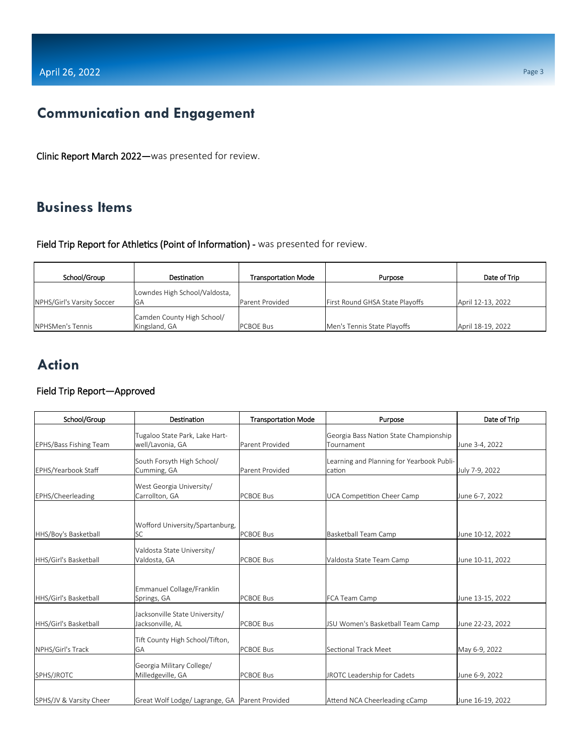## **Communication and Engagement**

Clinic Report March 2022—was presented for review.

### **Business Items**

Field Trip Report for Athletics (Point of Information) - was presented for review.

| School/Group               | <b>Destination</b>                          | Transportation Mode | Purpose                         | Date of Trip      |
|----------------------------|---------------------------------------------|---------------------|---------------------------------|-------------------|
| NPHS/Girl's Varsity Soccer | Lowndes High School/Valdosta,<br>GA         | Parent Provided     | First Round GHSA State Playoffs | April 12-13, 2022 |
| <b>NPHSMen's Tennis</b>    | Camden County High School/<br>Kingsland, GA | <b>PCBOE Bus</b>    | Men's Tennis State Playoffs     | April 18-19, 2022 |

## **Action**

#### Field Trip Report—Approved

| School/Group                  | Destination                                        | <b>Transportation Mode</b> | Purpose                                              | Date of Trip     |
|-------------------------------|----------------------------------------------------|----------------------------|------------------------------------------------------|------------------|
| <b>EPHS/Bass Fishing Team</b> | Tugaloo State Park, Lake Hart-<br>well/Lavonia, GA | Parent Provided            | Georgia Bass Nation State Championship<br>Tournament | June 3-4, 2022   |
| EPHS/Yearbook Staff           | South Forsyth High School/<br>Cumming, GA          | Parent Provided            | Learning and Planning for Yearbook Publi-<br>cation  | July 7-9, 2022   |
| EPHS/Cheerleading             | West Georgia University/<br>Carrollton, GA         | <b>PCBOE Bus</b>           | UCA Competition Cheer Camp                           | June 6-7, 2022   |
| HHS/Boy's Basketball          | Wofford University/Spartanburg,<br><b>SC</b>       | <b>PCBOE Bus</b>           | Basketball Team Camp                                 | June 10-12, 2022 |
| HHS/Girl's Basketball         | Valdosta State University/<br>Valdosta, GA         | <b>PCBOF Bus</b>           | Valdosta State Team Camp                             | June 10-11, 2022 |
| HHS/Girl's Basketball         | Emmanuel Collage/Franklin<br>Springs, GA           | <b>PCBOE Bus</b>           | FCA Team Camp                                        | June 13-15, 2022 |
| HHS/Girl's Basketball         | Jacksonville State University/<br>Jacksonville, AL | <b>PCBOE Bus</b>           | JSU Women's Basketball Team Camp                     | June 22-23, 2022 |
| NPHS/Girl's Track             | Tift County High School/Tifton,<br>GA              | <b>PCBOE Bus</b>           | Sectional Track Meet                                 | May 6-9, 2022    |
| SPHS/JROTC                    | Georgia Military College/<br>Milledgeville, GA     | <b>PCBOE Bus</b>           | JROTC Leadership for Cadets                          | June 6-9, 2022   |
| SPHS/JV & Varsity Cheer       | Great Wolf Lodge/ Lagrange, GA Parent Provided     |                            | Attend NCA Cheerleading cCamp                        | June 16-19, 2022 |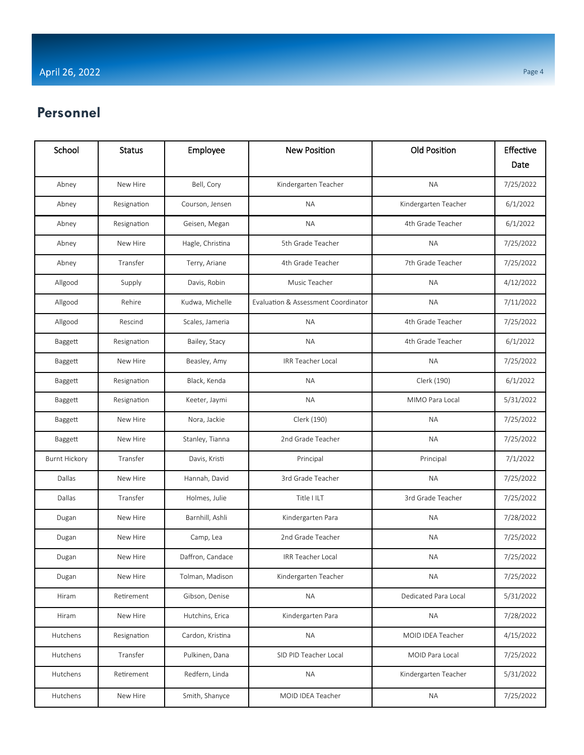## **Personnel**

| School               | <b>Status</b> | Employee         | <b>New Position</b>                 | <b>Old Position</b>  | Effective |
|----------------------|---------------|------------------|-------------------------------------|----------------------|-----------|
|                      |               |                  |                                     |                      | Date      |
| Abney                | New Hire      | Bell, Cory       | Kindergarten Teacher                | <b>NA</b>            | 7/25/2022 |
| Abney                | Resignation   | Courson, Jensen  | <b>NA</b>                           | Kindergarten Teacher | 6/1/2022  |
| Abney                | Resignation   | Geisen, Megan    | <b>NA</b>                           | 4th Grade Teacher    | 6/1/2022  |
| Abney                | New Hire      | Hagle, Christina | 5th Grade Teacher                   | <b>NA</b>            | 7/25/2022 |
| Abney                | Transfer      | Terry, Ariane    | 4th Grade Teacher                   | 7th Grade Teacher    | 7/25/2022 |
| Allgood              | Supply        | Davis, Robin     | Music Teacher                       | <b>NA</b>            | 4/12/2022 |
| Allgood              | Rehire        | Kudwa, Michelle  | Evaluation & Assessment Coordinator | <b>NA</b>            | 7/11/2022 |
| Allgood              | Rescind       | Scales, Jameria  | <b>NA</b>                           | 4th Grade Teacher    | 7/25/2022 |
| Baggett              | Resignation   | Bailey, Stacy    | <b>NA</b>                           | 4th Grade Teacher    | 6/1/2022  |
| Baggett              | New Hire      | Beasley, Amy     | <b>IRR Teacher Local</b>            | <b>NA</b>            | 7/25/2022 |
| Baggett              | Resignation   | Black, Kenda     | <b>NA</b>                           | Clerk (190)          | 6/1/2022  |
| Baggett              | Resignation   | Keeter, Jaymi    | <b>NA</b>                           | MIMO Para Local      | 5/31/2022 |
| Baggett              | New Hire      | Nora, Jackie     | Clerk (190)                         | <b>NA</b>            | 7/25/2022 |
| Baggett              | New Hire      | Stanley, Tianna  | 2nd Grade Teacher                   | <b>NA</b>            | 7/25/2022 |
| <b>Burnt Hickory</b> | Transfer      | Davis, Kristi    | Principal                           | Principal            | 7/1/2022  |
| Dallas               | New Hire      | Hannah, David    | 3rd Grade Teacher                   | <b>NA</b>            | 7/25/2022 |
| Dallas               | Transfer      | Holmes, Julie    | Title I ILT                         | 3rd Grade Teacher    | 7/25/2022 |
| Dugan                | New Hire      | Barnhill, Ashli  | Kindergarten Para                   | <b>NA</b>            | 7/28/2022 |
| Dugan                | New Hire      | Camp, Lea        | 2nd Grade Teacher                   | <b>NA</b>            | 7/25/2022 |
| Dugan                | New Hire      | Daffron, Candace | IRR Teacher Local                   | <b>NA</b>            | 7/25/2022 |
| Dugan                | New Hire      | Tolman, Madison  | Kindergarten Teacher                | <b>NA</b>            | 7/25/2022 |
| Hiram                | Retirement    | Gibson, Denise   | <b>NA</b>                           | Dedicated Para Local | 5/31/2022 |
| Hiram                | New Hire      | Hutchins, Erica  | Kindergarten Para                   | <b>NA</b>            | 7/28/2022 |
| Hutchens             | Resignation   | Cardon, Kristina | <b>NA</b>                           | MOID IDEA Teacher    | 4/15/2022 |
| Hutchens             | Transfer      | Pulkinen, Dana   | SID PID Teacher Local               | MOID Para Local      | 7/25/2022 |
| Hutchens             | Retirement    | Redfern, Linda   | <b>NA</b>                           | Kindergarten Teacher | 5/31/2022 |
| Hutchens             | New Hire      | Smith, Shanyce   | MOID IDEA Teacher                   | <b>NA</b>            | 7/25/2022 |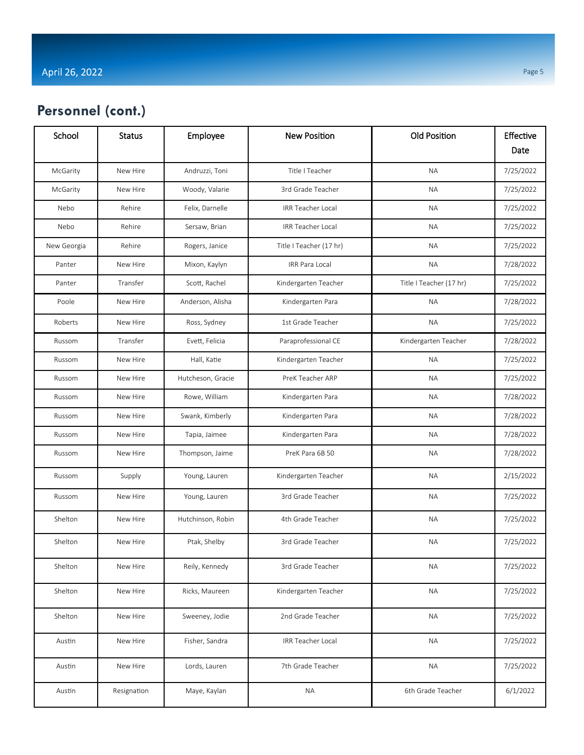## **Personnel (cont.)**

| School      | <b>Status</b> | Employee          | <b>New Position</b>      | <b>Old Position</b>     | Effective |
|-------------|---------------|-------------------|--------------------------|-------------------------|-----------|
|             |               |                   |                          |                         | Date      |
| McGarity    | New Hire      | Andruzzi, Toni    | Title I Teacher          | <b>NA</b>               | 7/25/2022 |
| McGarity    | New Hire      | Woody, Valarie    | 3rd Grade Teacher        | <b>NA</b>               | 7/25/2022 |
| Nebo        | Rehire        | Felix, Darnelle   | IRR Teacher Local        | <b>NA</b>               | 7/25/2022 |
| Nebo        | Rehire        | Sersaw, Brian     | <b>IRR Teacher Local</b> | <b>NA</b>               | 7/25/2022 |
| New Georgia | Rehire        | Rogers, Janice    | Title I Teacher (17 hr)  | <b>NA</b>               | 7/25/2022 |
| Panter      | New Hire      | Mixon, Kaylyn     | IRR Para Local           | <b>NA</b>               | 7/28/2022 |
| Panter      | Transfer      | Scott, Rachel     | Kindergarten Teacher     | Title I Teacher (17 hr) | 7/25/2022 |
| Poole       | New Hire      | Anderson, Alisha  | Kindergarten Para        | <b>NA</b>               | 7/28/2022 |
| Roberts     | New Hire      | Ross, Sydney      | 1st Grade Teacher        | <b>NA</b>               | 7/25/2022 |
| Russom      | Transfer      | Evett, Felicia    | Paraprofessional CE      | Kindergarten Teacher    | 7/28/2022 |
| Russom      | New Hire      | Hall, Katie       | Kindergarten Teacher     | <b>NA</b>               | 7/25/2022 |
| Russom      | New Hire      | Hutcheson, Gracie | PreK Teacher ARP         | <b>NA</b>               | 7/25/2022 |
| Russom      | New Hire      | Rowe, William     | Kindergarten Para        | <b>NA</b>               | 7/28/2022 |
| Russom      | New Hire      | Swank, Kimberly   | Kindergarten Para        | <b>NA</b>               | 7/28/2022 |
| Russom      | New Hire      | Tapia, Jaimee     | Kindergarten Para        | <b>NA</b>               | 7/28/2022 |
| Russom      | New Hire      | Thompson, Jaime   | PreK Para 6B 50          | <b>NA</b>               | 7/28/2022 |
| Russom      | Supply        | Young, Lauren     | Kindergarten Teacher     | <b>NA</b>               | 2/15/2022 |
| Russom      | New Hire      | Young, Lauren     | 3rd Grade Teacher        | <b>NA</b>               | 7/25/2022 |
| Shelton     | New Hire      | Hutchinson, Robin | 4th Grade Teacher        | <b>NA</b>               | 7/25/2022 |
| Shelton     | New Hire      | Ptak, Shelby      | 3rd Grade Teacher        | <b>NA</b>               | 7/25/2022 |
| Shelton     | New Hire      | Reily, Kennedy    | 3rd Grade Teacher        | <b>NA</b>               | 7/25/2022 |
| Shelton     | New Hire      | Ricks, Maureen    | Kindergarten Teacher     | <b>NA</b>               | 7/25/2022 |
| Shelton     | New Hire      | Sweeney, Jodie    | 2nd Grade Teacher        | <b>NA</b>               | 7/25/2022 |
| Austin      | New Hire      | Fisher, Sandra    | <b>IRR Teacher Local</b> | <b>NA</b>               | 7/25/2022 |
| Austin      | New Hire      | Lords, Lauren     | 7th Grade Teacher        | <b>NA</b>               | 7/25/2022 |
| Austin      | Resignation   | Maye, Kaylan      | <b>NA</b>                | 6th Grade Teacher       | 6/1/2022  |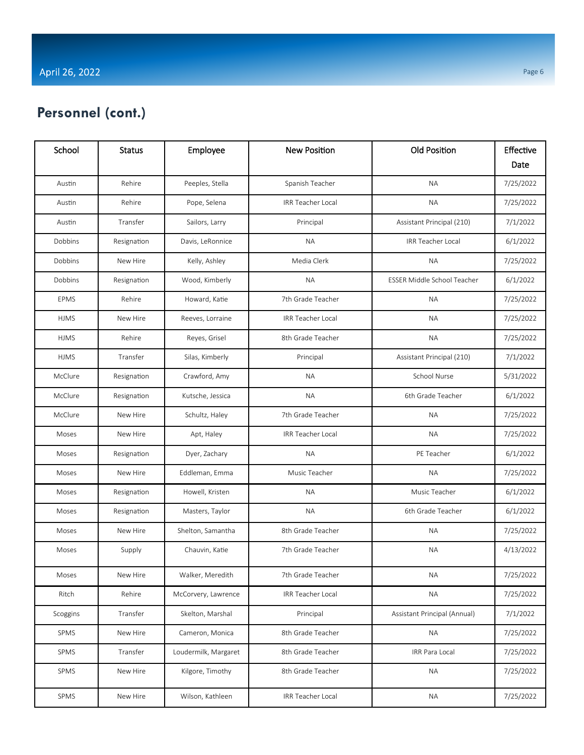#### Page 6

## **Personnel (cont.)**

| School      | <b>Status</b> | Employee             | <b>New Position</b>      | <b>Old Position</b>          | Effective<br>Date |
|-------------|---------------|----------------------|--------------------------|------------------------------|-------------------|
| Austin      | Rehire        | Peeples, Stella      | Spanish Teacher          | <b>NA</b>                    | 7/25/2022         |
| Austin      | Rehire        | Pope, Selena         | IRR Teacher Local        | <b>NA</b>                    | 7/25/2022         |
| Austin      | Transfer      | Sailors, Larry       | Principal                | Assistant Principal (210)    | 7/1/2022          |
| Dobbins     | Resignation   | Davis, LeRonnice     | <b>NA</b>                | <b>IRR Teacher Local</b>     | 6/1/2022          |
| Dobbins     | New Hire      | Kelly, Ashley        | Media Clerk              | <b>NA</b>                    | 7/25/2022         |
| Dobbins     | Resignation   | Wood, Kimberly       | <b>NA</b>                | ESSER Middle School Teacher  | 6/1/2022          |
| <b>EPMS</b> | Rehire        | Howard, Katie        | 7th Grade Teacher        | <b>NA</b>                    | 7/25/2022         |
| <b>HJMS</b> | New Hire      | Reeves, Lorraine     | IRR Teacher Local        | <b>NA</b>                    | 7/25/2022         |
| <b>HJMS</b> | Rehire        | Reyes, Grisel        | 8th Grade Teacher        | <b>NA</b>                    | 7/25/2022         |
| <b>HJMS</b> | Transfer      | Silas, Kimberly      | Principal                | Assistant Principal (210)    | 7/1/2022          |
| McClure     | Resignation   | Crawford, Amy        | <b>NA</b>                | <b>School Nurse</b>          | 5/31/2022         |
| McClure     | Resignation   | Kutsche, Jessica     | <b>NA</b>                | 6th Grade Teacher            | 6/1/2022          |
| McClure     | New Hire      | Schultz, Haley       | 7th Grade Teacher        | <b>NA</b>                    | 7/25/2022         |
| Moses       | New Hire      | Apt, Haley           | <b>IRR Teacher Local</b> | <b>NA</b>                    | 7/25/2022         |
| Moses       | Resignation   | Dyer, Zachary        | ΝA                       | PE Teacher                   | 6/1/2022          |
| Moses       | New Hire      | Eddleman, Emma       | Music Teacher            | <b>NA</b>                    | 7/25/2022         |
| Moses       | Resignation   | Howell, Kristen      | <b>NA</b>                | Music Teacher                | 6/1/2022          |
| Moses       | Resignation   | Masters, Taylor      | <b>NA</b>                | 6th Grade Teacher            | 6/1/2022          |
| Moses       | New Hire      | Shelton, Samantha    | 8th Grade Teacher        | <b>NA</b>                    | 7/25/2022         |
| Moses       | Supply        | Chauvin, Katie       | 7th Grade Teacher        | <b>NA</b>                    | 4/13/2022         |
| Moses       | New Hire      | Walker, Meredith     | 7th Grade Teacher        | ΝA                           | 7/25/2022         |
| Ritch       | Rehire        | McCorvery, Lawrence  | <b>IRR Teacher Local</b> | <b>NA</b>                    | 7/25/2022         |
| Scoggins    | Transfer      | Skelton, Marshal     | Principal                | Assistant Principal (Annual) | 7/1/2022          |
| SPMS        | New Hire      | Cameron, Monica      | 8th Grade Teacher        | <b>NA</b>                    | 7/25/2022         |
| SPMS        | Transfer      | Loudermilk, Margaret | 8th Grade Teacher        | <b>IRR Para Local</b>        | 7/25/2022         |
| SPMS        | New Hire      | Kilgore, Timothy     | 8th Grade Teacher        | <b>NA</b>                    | 7/25/2022         |
| SPMS        | New Hire      | Wilson, Kathleen     | <b>IRR Teacher Local</b> | <b>NA</b>                    | 7/25/2022         |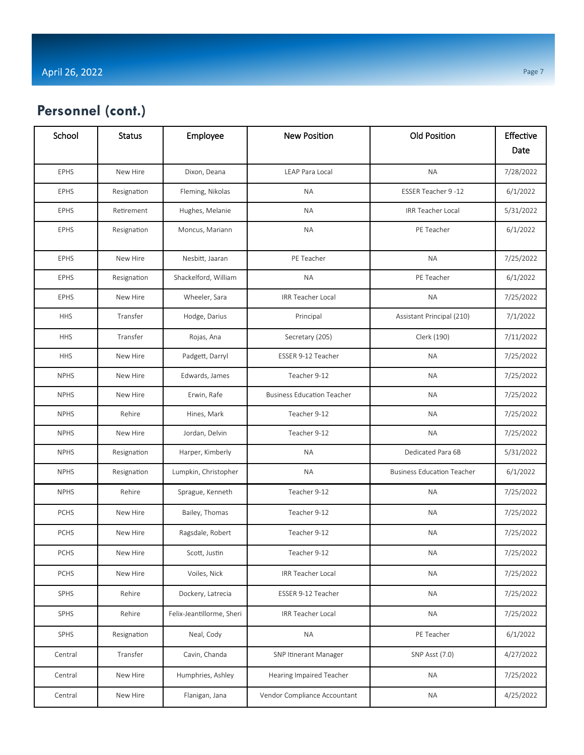| School      | <b>Status</b> | Employee                  | <b>New Position</b>               | <b>Old Position</b>               | Effective<br>Date |
|-------------|---------------|---------------------------|-----------------------------------|-----------------------------------|-------------------|
| <b>EPHS</b> | New Hire      | Dixon, Deana              | LEAP Para Local                   | <b>NA</b>                         | 7/28/2022         |
| <b>EPHS</b> | Resignation   | Fleming, Nikolas          | <b>NA</b>                         | ESSER Teacher 9 -12               | 6/1/2022          |
| <b>EPHS</b> | Retirement    | Hughes, Melanie           | <b>NA</b>                         | <b>IRR Teacher Local</b>          | 5/31/2022         |
| <b>EPHS</b> | Resignation   | Moncus, Mariann           | <b>NA</b>                         | PE Teacher                        | 6/1/2022          |
| <b>EPHS</b> | New Hire      | Nesbitt, Jaaran           | PE Teacher                        | <b>NA</b>                         | 7/25/2022         |
| <b>EPHS</b> | Resignation   | Shackelford, William      | <b>NA</b>                         | PE Teacher                        | 6/1/2022          |
| <b>EPHS</b> | New Hire      | Wheeler, Sara             | <b>IRR Teacher Local</b>          | <b>NA</b>                         | 7/25/2022         |
| <b>HHS</b>  | Transfer      | Hodge, Darius             | Principal                         | Assistant Principal (210)         | 7/1/2022          |
| <b>HHS</b>  | Transfer      | Rojas, Ana                | Secretary (205)                   | Clerk (190)                       | 7/11/2022         |
| <b>HHS</b>  | New Hire      | Padgett, Darryl           | ESSER 9-12 Teacher                | <b>NA</b>                         | 7/25/2022         |
| <b>NPHS</b> | New Hire      | Edwards, James            | Teacher 9-12                      | <b>NA</b>                         | 7/25/2022         |
| <b>NPHS</b> | New Hire      | Erwin, Rafe               | <b>Business Education Teacher</b> | <b>NA</b>                         | 7/25/2022         |
| <b>NPHS</b> | Rehire        | Hines, Mark               | Teacher 9-12                      | <b>NA</b>                         | 7/25/2022         |
| <b>NPHS</b> | New Hire      | Jordan, Delvin            | Teacher 9-12                      | <b>NA</b>                         | 7/25/2022         |
| <b>NPHS</b> | Resignation   | Harper, Kimberly          | <b>NA</b>                         | Dedicated Para 6B                 | 5/31/2022         |
| <b>NPHS</b> | Resignation   | Lumpkin, Christopher      | ΝA                                | <b>Business Education Teacher</b> | 6/1/2022          |
| <b>NPHS</b> | Rehire        | Sprague, Kenneth          | Teacher 9-12                      | <b>NA</b>                         | 7/25/2022         |
| <b>PCHS</b> | New Hire      | Bailey, Thomas            | Teacher 9-12                      | <b>NA</b>                         | 7/25/2022         |
| <b>PCHS</b> | New Hire      | Ragsdale, Robert          | Teacher 9-12                      | <b>NA</b>                         | 7/25/2022         |
| <b>PCHS</b> | New Hire      | Scott, Justin             | Teacher 9-12                      | ΝA                                | 7/25/2022         |
| PCHS        | New Hire      | Voiles, Nick              | IRR Teacher Local                 | <b>NA</b>                         | 7/25/2022         |
| SPHS        | Rehire        | Dockery, Latrecia         | ESSER 9-12 Teacher                | <b>NA</b>                         | 7/25/2022         |
| SPHS        | Rehire        | Felix-Jeantillorme, Sheri | IRR Teacher Local                 | <b>NA</b>                         | 7/25/2022         |
| SPHS        | Resignation   | Neal, Cody                | <b>NA</b>                         | PE Teacher                        | 6/1/2022          |
| Central     | Transfer      | Cavin, Chanda             | SNP Itinerant Manager             | SNP Asst (7.0)                    | 4/27/2022         |
| Central     | New Hire      | Humphries, Ashley         | Hearing Impaired Teacher          | <b>NA</b>                         | 7/25/2022         |
| Central     | New Hire      | Flanigan, Jana            | Vendor Compliance Accountant      | <b>NA</b>                         | 4/25/2022         |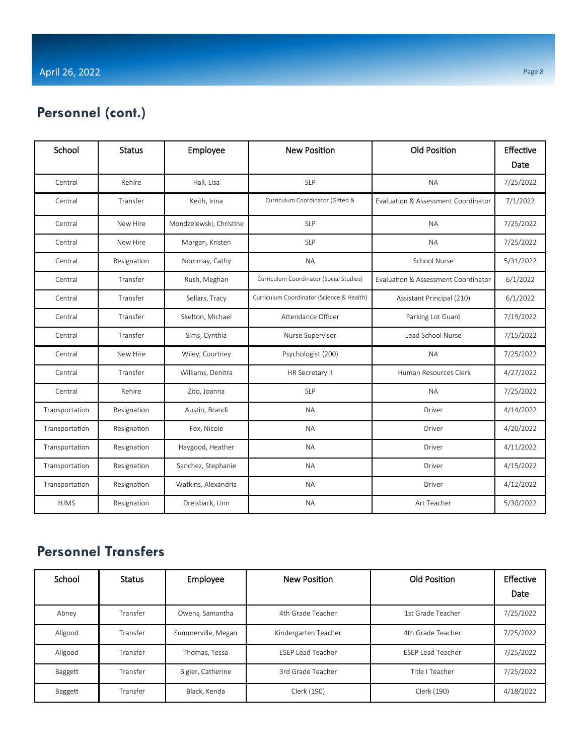#### Page 8

## **Personnel (cont.)**

| School         | <b>Status</b> | Employee                | <b>New Position</b>                       | Old Position                                   | Effective |
|----------------|---------------|-------------------------|-------------------------------------------|------------------------------------------------|-----------|
|                |               |                         |                                           |                                                | Date      |
| Central        | Rehire        | Hall, Lisa              | <b>SLP</b>                                | <b>NA</b>                                      | 7/25/2022 |
| Central        | Transfer      | Keith, Irina            | Curriculum Coordinator (Gifted &          | <b>Fyaluation &amp; Assessment Coordinator</b> | 7/1/2022  |
| Central        | New Hire      | Mondzelewski, Christine | <b>SLP</b>                                | <b>NA</b>                                      | 7/25/2022 |
| Central        | New Hire      | Morgan, Kristen         | <b>SLP</b>                                | <b>NA</b>                                      | 7/25/2022 |
| Central        | Resignation   | Nommay, Cathy           | <b>NA</b>                                 | School Nurse                                   | 5/31/2022 |
| Central        | Transfer      | Rush, Meghan            | Curriculum Coordinator (Social Studies)   | Evaluation & Assessment Coordinator            | 6/1/2022  |
| Central        | Transfer      | Sellars, Tracy          | Curriculum Coordinator (Science & Health) | Assistant Principal (210)                      | 6/1/2022  |
| Central        | Transfer      | Skelton, Michael        | Attendance Officer                        | Parking Lot Guard                              | 7/19/2022 |
| Central        | Transfer      | Sims, Cynthia           | Nurse Supervisor                          | Lead School Nurse                              | 7/15/2022 |
| Central        | New Hire      | Wiley, Courtney         | Psychologist (200)                        | <b>NA</b>                                      | 7/25/2022 |
| Central        | Transfer      | Williams, Denitra       | HR Secretary II                           | Human Resources Clerk                          | 4/27/2022 |
| Central        | Rehire        | Zito, Joanna            | <b>SLP</b>                                | NA.                                            | 7/25/2022 |
| Transportation | Resignation   | Austin, Brandi          | <b>NA</b>                                 | Driver                                         | 4/14/2022 |
| Transportation | Resignation   | Fox, Nicole             | <b>NA</b>                                 | Driver                                         | 4/20/2022 |
| Transportation | Resignation   | Haygood, Heather        | <b>NA</b>                                 | Driver                                         | 4/11/2022 |
| Transportation | Resignation   | Sanchez, Stephanie      | <b>NA</b>                                 | Driver                                         | 4/15/2022 |
| Transportation | Resignation   | Watkins, Alexandria     | <b>NA</b>                                 | Driver                                         | 4/12/2022 |
| <b>HJMS</b>    | Resignation   | Dreisback, Linn         | <b>NA</b>                                 | Art Teacher                                    | 5/30/2022 |

# **Personnel Transfers**

| School  | <b>Status</b> | Employee           | New Position             | Old Position             | Effective<br>Date |
|---------|---------------|--------------------|--------------------------|--------------------------|-------------------|
| Abney   | Transfer      | Owens, Samantha    | 4th Grade Teacher        | 1st Grade Teacher        | 7/25/2022         |
| Allgood | Transfer      | Summerville, Megan | Kindergarten Teacher     | 4th Grade Teacher        | 7/25/2022         |
| Allgood | Transfer      | Thomas. Tessa      | <b>FSFP Lead Teacher</b> | <b>FSEP Lead Teacher</b> | 7/25/2022         |
| Baggett | Transfer      | Bigler, Catherine  | 3rd Grade Teacher        | Title I Teacher          | 7/25/2022         |
| Baggett | Transfer      | Black, Kenda       | Clerk (190)              | Clerk (190)              | 4/18/2022         |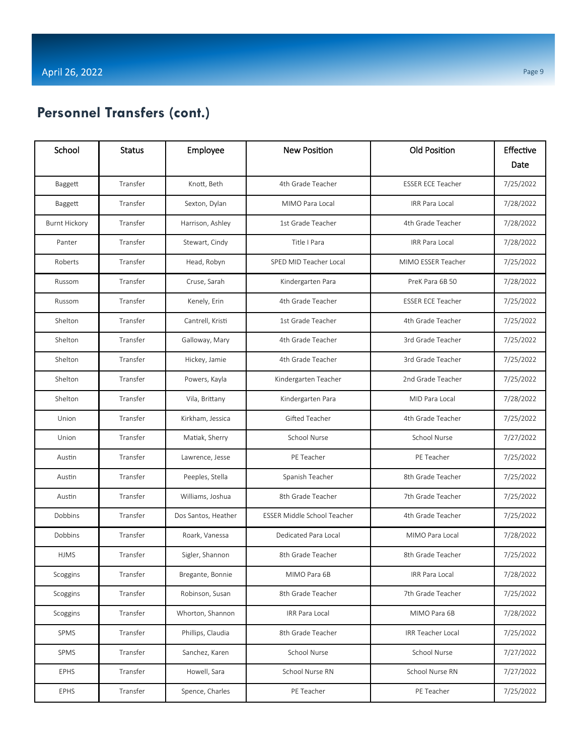| School               | <b>Status</b> | Employee            | <b>New Position</b>         | <b>Old Position</b>      | Effective |
|----------------------|---------------|---------------------|-----------------------------|--------------------------|-----------|
|                      |               |                     |                             |                          | Date      |
| Baggett              | Transfer      | Knott, Beth         | 4th Grade Teacher           | <b>ESSER ECE Teacher</b> | 7/25/2022 |
| Baggett              | Transfer      | Sexton, Dylan       | MIMO Para Local             | <b>IRR Para Local</b>    | 7/28/2022 |
| <b>Burnt Hickory</b> | Transfer      | Harrison, Ashley    | 1st Grade Teacher           | 4th Grade Teacher        | 7/28/2022 |
| Panter               | Transfer      | Stewart, Cindy      | Title I Para                | IRR Para Local           | 7/28/2022 |
| Roberts              | Transfer      | Head, Robyn         | SPED MID Teacher Local      | MIMO ESSER Teacher       | 7/25/2022 |
| Russom               | Transfer      | Cruse, Sarah        | Kindergarten Para           | PreK Para 6B 50          | 7/28/2022 |
| Russom               | Transfer      | Kenely, Erin        | 4th Grade Teacher           | <b>ESSER ECE Teacher</b> | 7/25/2022 |
| Shelton              | Transfer      | Cantrell, Kristi    | 1st Grade Teacher           | 4th Grade Teacher        | 7/25/2022 |
| Shelton              | Transfer      | Galloway, Mary      | 4th Grade Teacher           | 3rd Grade Teacher        | 7/25/2022 |
| Shelton              | Transfer      | Hickey, Jamie       | 4th Grade Teacher           | 3rd Grade Teacher        | 7/25/2022 |
| Shelton              | Transfer      | Powers, Kayla       | Kindergarten Teacher        | 2nd Grade Teacher        | 7/25/2022 |
| Shelton              | Transfer      | Vila, Brittany      | Kindergarten Para           | MID Para Local           | 7/28/2022 |
| Union                | Transfer      | Kirkham, Jessica    | Gifted Teacher              | 4th Grade Teacher        | 7/25/2022 |
| Union                | Transfer      | Matiak, Sherry      | School Nurse                | School Nurse             | 7/27/2022 |
| Austin               | Transfer      | Lawrence, Jesse     | PE Teacher                  | PE Teacher               | 7/25/2022 |
| Austin               | Transfer      | Peeples, Stella     | Spanish Teacher             | 8th Grade Teacher        | 7/25/2022 |
| Austin               | Transfer      | Williams, Joshua    | 8th Grade Teacher           | 7th Grade Teacher        | 7/25/2022 |
| Dobbins              | Transfer      | Dos Santos, Heather | ESSER Middle School Teacher | 4th Grade Teacher        | 7/25/2022 |
| Dobbins              | Transfer      | Roark, Vanessa      | Dedicated Para Local        | MIMO Para Local          | 7/28/2022 |
| <b>HJMS</b>          | Transfer      | Sigler, Shannon     | 8th Grade Teacher           | 8th Grade Teacher        | 7/25/2022 |
| Scoggins             | Transfer      | Bregante, Bonnie    | MIMO Para 6B                | IRR Para Local           | 7/28/2022 |
| Scoggins             | Transfer      | Robinson, Susan     | 8th Grade Teacher           | 7th Grade Teacher        | 7/25/2022 |
| Scoggins             | Transfer      | Whorton, Shannon    | IRR Para Local              | MIMO Para 6B             | 7/28/2022 |
| SPMS                 | Transfer      | Phillips, Claudia   | 8th Grade Teacher           | IRR Teacher Local        | 7/25/2022 |
| SPMS                 | Transfer      | Sanchez, Karen      | School Nurse                | School Nurse             | 7/27/2022 |
| <b>EPHS</b>          | Transfer      | Howell, Sara        | School Nurse RN             | School Nurse RN          | 7/27/2022 |
| EPHS                 | Transfer      | Spence, Charles     | PE Teacher                  | PE Teacher               | 7/25/2022 |